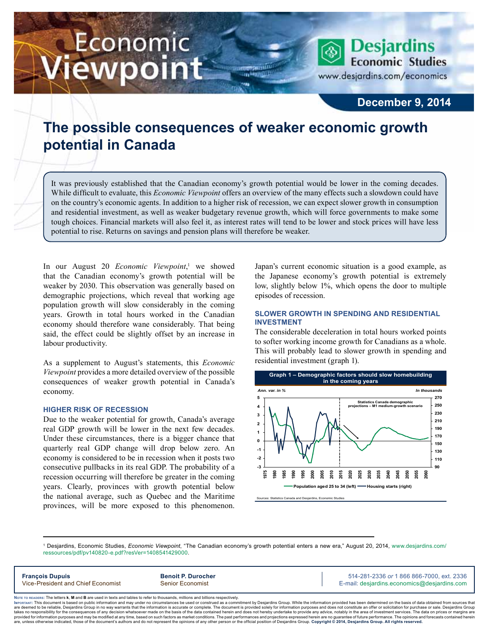# Economic ewpoint

**Desjardins Economic Studies** 

www.desjardins.com/economics

### **December 9, 2014**

## **The possible consequences of weaker economic growth potential in Canada**

m

It was previously established that the Canadian economy's growth potential would be lower in the coming decades. While difficult to evaluate, this *Economic Viewpoint* offers an overview of the many effects such a slowdown could have on the country's economic agents. In addition to a higher risk of recession, we can expect slower growth in consumption and residential investment, as well as weaker budgetary revenue growth, which will force governments to make some tough choices. Financial markets will also feel it, as interest rates will tend to be lower and stock prices will have less potential to rise. Returns on savings and pension plans will therefore be weaker.

In our August 20 *Economic Viewpoint*,<sup>1</sup> we showed that the Canadian economy's growth potential will be weaker by 2030. This observation was generally based on demographic projections, which reveal that working age population growth will slow considerably in the coming years. Growth in total hours worked in the Canadian economy should therefore wane considerably. That being said, the effect could be slightly offset by an increase in labour productivity.

As a supplement to August's statements, this *Economic Viewpoint* provides a more detailed overview of the possible consequences of weaker growth potential in Canada's economy.

#### **Higher risk of recession**

Due to the weaker potential for growth, Canada's average real GDP growth will be lower in the next few decades. Under these circumstances, there is a bigger chance that quarterly real GDP change will drop below zero. An economy is considered to be in recession when it posts two consecutive pullbacks in its real GDP. The probability of a recession occurring will therefore be greater in the coming years. Clearly, provinces with growth potential below the national average, such as Quebec and the Maritime provinces, will be more exposed to this phenomenon. Japan's current economic situation is a good example, as the Japanese economy's growth potential is extremely low, slightly below 1%, which opens the door to multiple episodes of recession.

#### **Slower growth in spending and residential investment**

The considerable deceleration in total hours worked points to softer working income growth for Canadians as a whole. This will probably lead to slower growth in spending and residential investment (graph 1).



1 Desjardins, Economic Studies, *Economic Viewpoint*, "The Canadian economy's growth potential enters a new era," August 20, 2014, [www.desjardins.com/](http://www.desjardins.com/ressources/pdf/pv140820-e.pdf?resVer=1408541429000) [ressources/pdf/pv140820-e.pdf?resVer=1408541429000.](http://www.desjardins.com/ressources/pdf/pv140820-e.pdf?resVer=1408541429000)

**François Dupuis Benoit P. Durocher** 514-281-2336 *or* 1 866 866-7000, ext. 2336 Vice-President and Chief Economist Senior Economist Senior Economist E-mail: desjardins.economics@desjardins.com

Noте то келоекs: The letters **k, M** and **B** are used in texts and tables to refer to thousands, millions and billions respectively.<br>Імроктлит: This document is based on public information and may under no circumstances be are deemed to be reliable. Desiardins Group in no way warrants that the information is accurate or complete. The document is provided solely for information purposes and does not constitute an offer or solicitation for pur takes no responsibility for the consequences of any decision whatsoever made on the basis of the data contained herein and does not hereby undertake to provide any advice, notably in the area of investment services. The da .<br>are, unless otherwise indicated, those of the document's authors and do not represent the opinions of any other person or the official position of Desjardins Group. Copyright © 2014, Desjardins Group. All rights reserved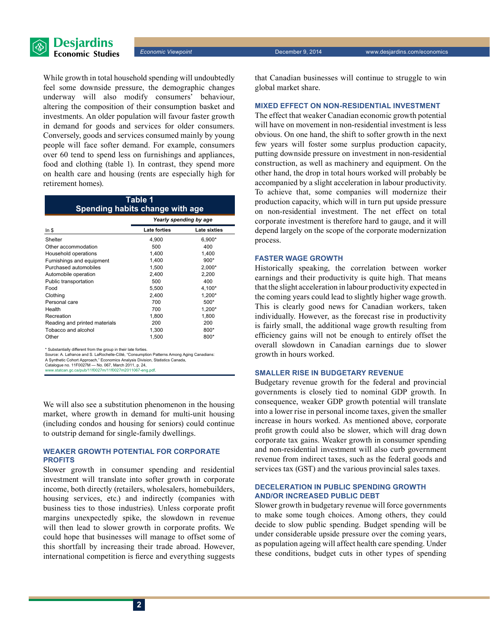

While growth in total household spending will undoubtedly feel some downside pressure, the demographic changes underway will also modify consumers' behaviour, altering the composition of their consumption basket and investments. An older population will favour faster growth in demand for goods and services for older consumers. Conversely, goods and services consumed mainly by young people will face softer demand. For example, consumers over 60 tend to spend less on furnishings and appliances, food and clothing (table 1). In contrast, they spend more on health care and housing (rents are especially high for retirement homes).

| Table 1<br>Spending habits change with age |                        |              |  |
|--------------------------------------------|------------------------|--------------|--|
|                                            | Yearly spending by age |              |  |
| In $$$                                     | <b>Late forties</b>    | Late sixties |  |
| Shelter                                    | 4,900                  | 6,900*       |  |
| Other accommodation                        | 500                    | 400          |  |
| Household operations                       | 1,400                  | 1.400        |  |
| Furnishings and equipment                  | 1,400                  | $900*$       |  |
| Purchased automobiles                      | 1.500                  | $2.000*$     |  |
| Automobile operation                       | 2.400                  | 2.200        |  |
| Public transportation                      | 500                    | 400          |  |
| Food                                       | 5,500                  | 4,100*       |  |
| Clothing                                   | 2,400                  | $1.200*$     |  |
| Personal care                              | 700                    | $500*$       |  |
| Health                                     | 700                    | $1.200*$     |  |
| Recreation                                 | 1,800                  | 1,800        |  |
| Reading and printed materials              | 200                    | 200          |  |
| Tobacco and alcohol                        | 1,300                  | 800*         |  |
| Other                                      | 1,500                  | 800*         |  |

\* Substantially different from the group in their late forties. Source: A. Lafrance and S. LaRochelle-Côté, "Consumption Patterns Among Aging Canadians:

A Synthetic Cohort Approach," Economics Analysis Division, Statistics Canada,

Catalogue no. 11F0027M — No. 067, March 2011, p. 24, www.statcan.gc.ca/pub/11f0027m/11f0027m2011067-eng.pdf.

We will also see a substitution phenomenon in the housing market, where growth in demand for multi-unit housing (including condos and housing for seniors) could continue to outstrip demand for single-family dwellings.

#### **Weaker growth potential for corporate profits**

Slower growth in consumer spending and residential investment will translate into softer growth in corporate income, both directly (retailers, wholesalers, homebuilders, housing services, etc.) and indirectly (companies with business ties to those industries). Unless corporate profit margins unexpectedly spike, the slowdown in revenue will then lead to slower growth in corporate profits. We could hope that businesses will manage to offset some of this shortfall by increasing their trade abroad. However, international competition is fierce and everything suggests

that Canadian businesses will continue to struggle to win global market share.

#### **Mixed effect on non-residential investment**

The effect that weaker Canadian economic growth potential will have on movement in non-residential investment is less obvious. On one hand, the shift to softer growth in the next few years will foster some surplus production capacity, putting downside pressure on investment in non-residential construction, as well as machinery and equipment. On the other hand, the drop in total hours worked will probably be accompanied by a slight acceleration in labour productivity. To achieve that, some companies will modernize their production capacity, which will in turn put upside pressure on non-residential investment. The net effect on total corporate investment is therefore hard to gauge, and it will depend largely on the scope of the corporate modernization process.

#### **Faster wage growth**

Historically speaking, the correlation between worker earnings and their productivity is quite high. That means that the slight acceleration in labour productivity expected in the coming years could lead to slightly higher wage growth. This is clearly good news for Canadian workers, taken individually. However, as the forecast rise in productivity is fairly small, the additional wage growth resulting from efficiency gains will not be enough to entirely offset the overall slowdown in Canadian earnings due to slower growth in hours worked.

#### **Smaller rise in budgetary revenue**

Budgetary revenue growth for the federal and provincial governments is closely tied to nominal GDP growth. In consequence, weaker GDP growth potential will translate into a lower rise in personal income taxes, given the smaller increase in hours worked. As mentioned above, corporate profit growth could also be slower, which will drag down corporate tax gains. Weaker growth in consumer spending and non-residential investment will also curb government revenue from indirect taxes, such as the federal goods and services tax (GST) and the various provincial sales taxes.

#### **Deceleration in public spending growth and/or increased public debt**

Slower growth in budgetary revenue will force governments to make some tough choices. Among others, they could decide to slow public spending. Budget spending will be under considerable upside pressure over the coming years, as population ageing will affect health care spending. Under these conditions, budget cuts in other types of spending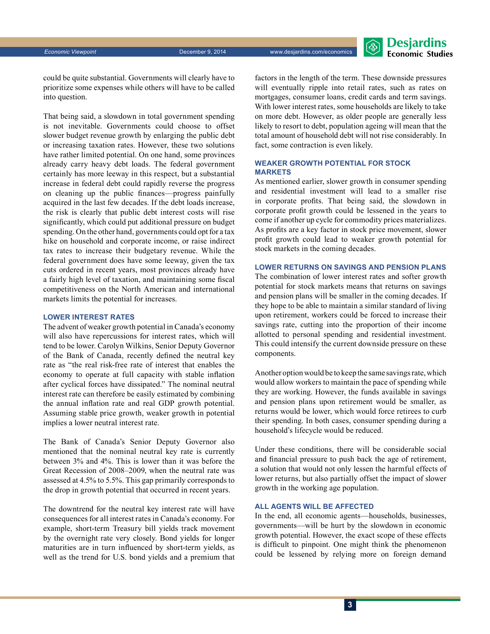*Economic Viewpoint* December 9, 2014 www.desjardins.com/economics



could be quite substantial. Governments will clearly have to prioritize some expenses while others will have to be called into question.

That being said, a slowdown in total government spending is not inevitable. Governments could choose to offset slower budget revenue growth by enlarging the public debt or increasing taxation rates. However, these two solutions have rather limited potential. On one hand, some provinces already carry heavy debt loads. The federal government certainly has more leeway in this respect, but a substantial increase in federal debt could rapidly reverse the progress on cleaning up the public finances—progress painfully acquired in the last few decades. If the debt loads increase, the risk is clearly that public debt interest costs will rise significantly, which could put additional pressure on budget spending. On the other hand, governments could opt for a tax hike on household and corporate income, or raise indirect tax rates to increase their budgetary revenue. While the federal government does have some leeway, given the tax cuts ordered in recent years, most provinces already have a fairly high level of taxation, and maintaining some fiscal competitiveness on the North American and international markets limits the potential for increases.

#### **Lower interest rates**

The advent of weaker growth potential in Canada's economy will also have repercussions for interest rates, which will tend to be lower. Carolyn Wilkins, Senior Deputy Governor of the Bank of Canada, recently defined the neutral key rate as "the real risk-free rate of interest that enables the economy to operate at full capacity with stable inflation after cyclical forces have dissipated." The nominal neutral interest rate can therefore be easily estimated by combining the annual inflation rate and real GDP growth potential. Assuming stable price growth, weaker growth in potential implies a lower neutral interest rate.

The Bank of Canada's Senior Deputy Governor also mentioned that the nominal neutral key rate is currently between 3% and 4%. This is lower than it was before the Great Recession of 2008–2009, when the neutral rate was assessed at 4.5% to 5.5%. This gap primarily corresponds to the drop in growth potential that occurred in recent years.

The downtrend for the neutral key interest rate will have consequences for all interest rates in Canada's economy. For example, short-term Treasury bill yields track movement by the overnight rate very closely. Bond yields for longer maturities are in turn influenced by short-term yields, as well as the trend for U.S. bond yields and a premium that factors in the length of the term. These downside pressures will eventually ripple into retail rates, such as rates on mortgages, consumer loans, credit cards and term savings. With lower interest rates, some households are likely to take on more debt. However, as older people are generally less likely to resort to debt, population ageing will mean that the total amount of household debt will not rise considerably. In fact, some contraction is even likely.

#### **Weaker growth potential for stock markets**

As mentioned earlier, slower growth in consumer spending and residential investment will lead to a smaller rise in corporate profits. That being said, the slowdown in corporate profit growth could be lessened in the years to come if another up cycle for commodity prices materializes. As profits are a key factor in stock price movement, slower profit growth could lead to weaker growth potential for stock markets in the coming decades.

#### **Lower returns on savings and pension plans**

The combination of lower interest rates and softer growth potential for stock markets means that returns on savings and pension plans will be smaller in the coming decades. If they hope to be able to maintain a similar standard of living upon retirement, workers could be forced to increase their savings rate, cutting into the proportion of their income allotted to personal spending and residential investment. This could intensify the current downside pressure on these components.

Another option would be to keep the same savings rate, which would allow workers to maintain the pace of spending while they are working. However, the funds available in savings and pension plans upon retirement would be smaller, as returns would be lower, which would force retirees to curb their spending. In both cases, consumer spending during a household's lifecycle would be reduced.

Under these conditions, there will be considerable social and financial pressure to push back the age of retirement, a solution that would not only lessen the harmful effects of lower returns, but also partially offset the impact of slower growth in the working age population.

#### **All agents will be affected**

In the end, all economic agents—households, businesses, governments—will be hurt by the slowdown in economic growth potential. However, the exact scope of these effects is difficult to pinpoint. One might think the phenomenon could be lessened by relying more on foreign demand